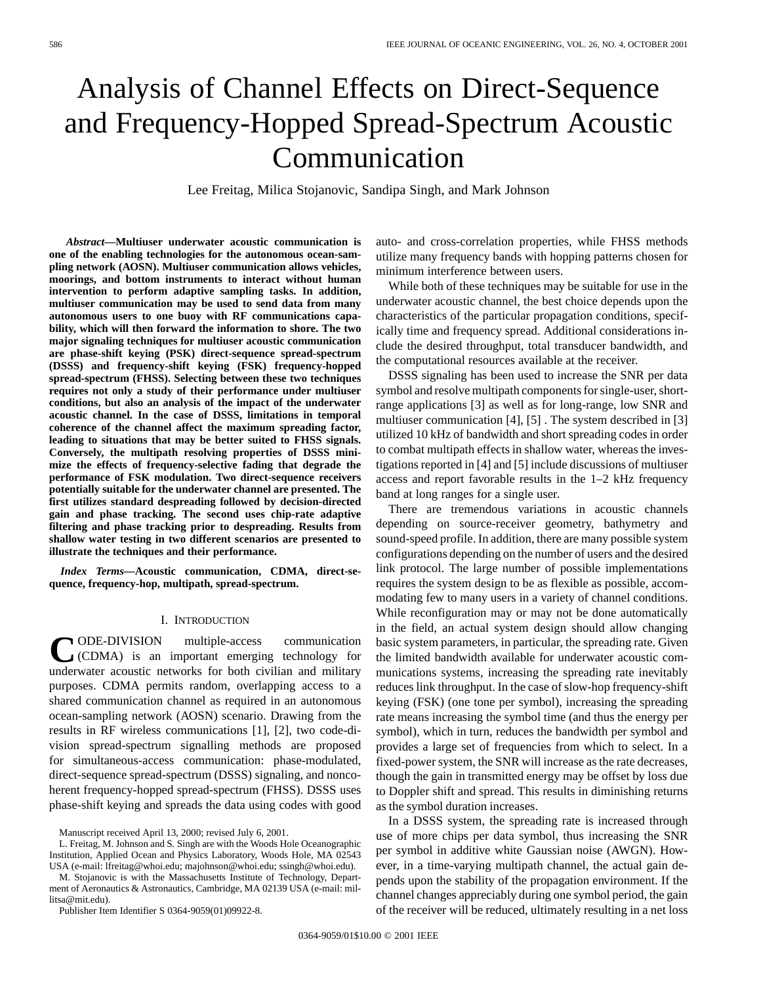# Analysis of Channel Effects on Direct-Sequence and Frequency-Hopped Spread-Spectrum Acoustic Communication

Lee Freitag, Milica Stojanovic, Sandipa Singh, and Mark Johnson

*Abstract—***Multiuser underwater acoustic communication is one of the enabling technologies for the autonomous ocean-sampling network (AOSN). Multiuser communication allows vehicles, moorings, and bottom instruments to interact without human intervention to perform adaptive sampling tasks. In addition, multiuser communication may be used to send data from many autonomous users to one buoy with RF communications capability, which will then forward the information to shore. The two major signaling techniques for multiuser acoustic communication are phase-shift keying (PSK) direct-sequence spread-spectrum (DSSS) and frequency-shift keying (FSK) frequency-hopped spread-spectrum (FHSS). Selecting between these two techniques requires not only a study of their performance under multiuser conditions, but also an analysis of the impact of the underwater acoustic channel. In the case of DSSS, limitations in temporal coherence of the channel affect the maximum spreading factor, leading to situations that may be better suited to FHSS signals. Conversely, the multipath resolving properties of DSSS minimize the effects of frequency-selective fading that degrade the performance of FSK modulation. Two direct-sequence receivers potentially suitable for the underwater channel are presented. The first utilizes standard despreading followed by decision-directed gain and phase tracking. The second uses chip-rate adaptive filtering and phase tracking prior to despreading. Results from shallow water testing in two different scenarios are presented to illustrate the techniques and their performance.**

*Index Terms—***Acoustic communication, CDMA, direct-sequence, frequency-hop, multipath, spread-spectrum.**

#### I. INTRODUCTION

CODE-DIVISION multiple-access communication<br>
(CDMA) is an important emerging technology for<br>
underwater acquation actually for both sivilian and military underwater acoustic networks for both civilian and military purposes. CDMA permits random, overlapping access to a shared communication channel as required in an autonomous ocean-sampling network (AOSN) scenario. Drawing from the results in RF wireless communications [1], [2], two code-division spread-spectrum signalling methods are proposed for simultaneous-access communication: phase-modulated, direct-sequence spread-spectrum (DSSS) signaling, and noncoherent frequency-hopped spread-spectrum (FHSS). DSSS uses phase-shift keying and spreads the data using codes with good

M. Stojanovic is with the Massachusetts Institute of Technology, Department of Aeronautics & Astronautics, Cambridge, MA 02139 USA (e-mail: millitsa@mit.edu).

Publisher Item Identifier S 0364-9059(01)09922-8.

auto- and cross-correlation properties, while FHSS methods utilize many frequency bands with hopping patterns chosen for minimum interference between users.

While both of these techniques may be suitable for use in the underwater acoustic channel, the best choice depends upon the characteristics of the particular propagation conditions, specifically time and frequency spread. Additional considerations include the desired throughput, total transducer bandwidth, and the computational resources available at the receiver.

DSSS signaling has been used to increase the SNR per data symbol and resolve multipath components for single-user, shortrange applications [3] as well as for long-range, low SNR and multiuser communication [4], [5] . The system described in [3] utilized 10 kHz of bandwidth and short spreading codes in order to combat multipath effects in shallow water, whereas the investigations reported in [4] and [5] include discussions of multiuser access and report favorable results in the 1–2 kHz frequency band at long ranges for a single user.

There are tremendous variations in acoustic channels depending on source-receiver geometry, bathymetry and sound-speed profile. In addition, there are many possible system configurations depending on the number of users and the desired link protocol. The large number of possible implementations requires the system design to be as flexible as possible, accommodating few to many users in a variety of channel conditions. While reconfiguration may or may not be done automatically in the field, an actual system design should allow changing basic system parameters, in particular, the spreading rate. Given the limited bandwidth available for underwater acoustic communications systems, increasing the spreading rate inevitably reduces link throughput. In the case of slow-hop frequency-shift keying (FSK) (one tone per symbol), increasing the spreading rate means increasing the symbol time (and thus the energy per symbol), which in turn, reduces the bandwidth per symbol and provides a large set of frequencies from which to select. In a fixed-power system, the SNR will increase as the rate decreases, though the gain in transmitted energy may be offset by loss due to Doppler shift and spread. This results in diminishing returns as the symbol duration increases.

In a DSSS system, the spreading rate is increased through use of more chips per data symbol, thus increasing the SNR per symbol in additive white Gaussian noise (AWGN). However, in a time-varying multipath channel, the actual gain depends upon the stability of the propagation environment. If the channel changes appreciably during one symbol period, the gain of the receiver will be reduced, ultimately resulting in a net loss

Manuscript received April 13, 2000; revised July 6, 2001.

L. Freitag, M. Johnson and S. Singh are with the Woods Hole Oceanographic Institution, Applied Ocean and Physics Laboratory, Woods Hole, MA 02543 USA (e-mail: lfreitag@whoi.edu; majohnson@whoi.edu; ssingh@whoi.edu).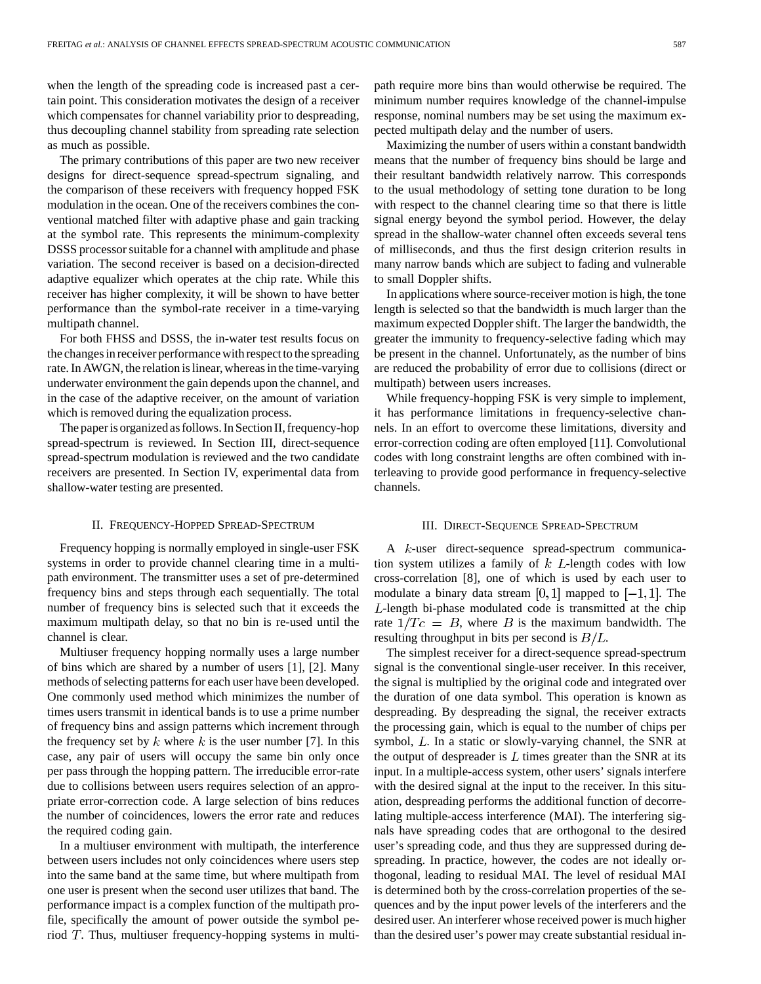when the length of the spreading code is increased past a certain point. This consideration motivates the design of a receiver which compensates for channel variability prior to despreading, thus decoupling channel stability from spreading rate selection as much as possible.

The primary contributions of this paper are two new receiver designs for direct-sequence spread-spectrum signaling, and the comparison of these receivers with frequency hopped FSK modulation in the ocean. One of the receivers combines the conventional matched filter with adaptive phase and gain tracking at the symbol rate. This represents the minimum-complexity DSSS processor suitable for a channel with amplitude and phase variation. The second receiver is based on a decision-directed adaptive equalizer which operates at the chip rate. While this receiver has higher complexity, it will be shown to have better performance than the symbol-rate receiver in a time-varying multipath channel.

For both FHSS and DSSS, the in-water test results focus on the changes in receiver performance with respect to the spreading rate. In AWGN, the relation is linear, whereas in the time-varying underwater environment the gain depends upon the channel, and in the case of the adaptive receiver, on the amount of variation which is removed during the equalization process.

The paper is organized as follows. In Section II, frequency-hop spread-spectrum is reviewed. In Section III, direct-sequence spread-spectrum modulation is reviewed and the two candidate receivers are presented. In Section IV, experimental data from shallow-water testing are presented.

## II. FREQUENCY-HOPPED SPREAD-SPECTRUM

Frequency hopping is normally employed in single-user FSK systems in order to provide channel clearing time in a multipath environment. The transmitter uses a set of pre-determined frequency bins and steps through each sequentially. The total number of frequency bins is selected such that it exceeds the maximum multipath delay, so that no bin is re-used until the channel is clear.

Multiuser frequency hopping normally uses a large number of bins which are shared by a number of users [1], [2]. Many methods of selecting patterns for each user have been developed. One commonly used method which minimizes the number of times users transmit in identical bands is to use a prime number of frequency bins and assign patterns which increment through the frequency set by k where k is the user number [7]. In this case, any pair of users will occupy the same bin only once per pass through the hopping pattern. The irreducible error-rate due to collisions between users requires selection of an appropriate error-correction code. A large selection of bins reduces the number of coincidences, lowers the error rate and reduces the required coding gain.

In a multiuser environment with multipath, the interference between users includes not only coincidences where users step into the same band at the same time, but where multipath from one user is present when the second user utilizes that band. The performance impact is a complex function of the multipath profile, specifically the amount of power outside the symbol period  $T$ . Thus, multiuser frequency-hopping systems in multipath require more bins than would otherwise be required. The minimum number requires knowledge of the channel-impulse response, nominal numbers may be set using the maximum expected multipath delay and the number of users.

Maximizing the number of users within a constant bandwidth means that the number of frequency bins should be large and their resultant bandwidth relatively narrow. This corresponds to the usual methodology of setting tone duration to be long with respect to the channel clearing time so that there is little signal energy beyond the symbol period. However, the delay spread in the shallow-water channel often exceeds several tens of milliseconds, and thus the first design criterion results in many narrow bands which are subject to fading and vulnerable to small Doppler shifts.

In applications where source-receiver motion is high, the tone length is selected so that the bandwidth is much larger than the maximum expected Doppler shift. The larger the bandwidth, the greater the immunity to frequency-selective fading which may be present in the channel. Unfortunately, as the number of bins are reduced the probability of error due to collisions (direct or multipath) between users increases.

While frequency-hopping FSK is very simple to implement, it has performance limitations in frequency-selective channels. In an effort to overcome these limitations, diversity and error-correction coding are often employed [11]. Convolutional codes with long constraint lengths are often combined with interleaving to provide good performance in frequency-selective channels.

## III. DIRECT-SEQUENCE SPREAD-SPECTRUM

A  $k$ -user direct-sequence spread-spectrum communication system utilizes a family of  $k$  L-length codes with low cross-correlation [8], one of which is used by each user to modulate a binary data stream  $[0, 1]$  mapped to  $[-1, 1]$ . The -length bi-phase modulated code is transmitted at the chip rate  $1/Tc = B$ , where B is the maximum bandwidth. The resulting throughput in bits per second is  $B/L$ .

The simplest receiver for a direct-sequence spread-spectrum signal is the conventional single-user receiver. In this receiver, the signal is multiplied by the original code and integrated over the duration of one data symbol. This operation is known as despreading. By despreading the signal, the receiver extracts the processing gain, which is equal to the number of chips per symbol,  $L$ . In a static or slowly-varying channel, the SNR at the output of despreader is  $L$  times greater than the SNR at its input. In a multiple-access system, other users' signals interfere with the desired signal at the input to the receiver. In this situation, despreading performs the additional function of decorrelating multiple-access interference (MAI). The interfering signals have spreading codes that are orthogonal to the desired user's spreading code, and thus they are suppressed during despreading. In practice, however, the codes are not ideally orthogonal, leading to residual MAI. The level of residual MAI is determined both by the cross-correlation properties of the sequences and by the input power levels of the interferers and the desired user. An interferer whose received power is much higher than the desired user's power may create substantial residual in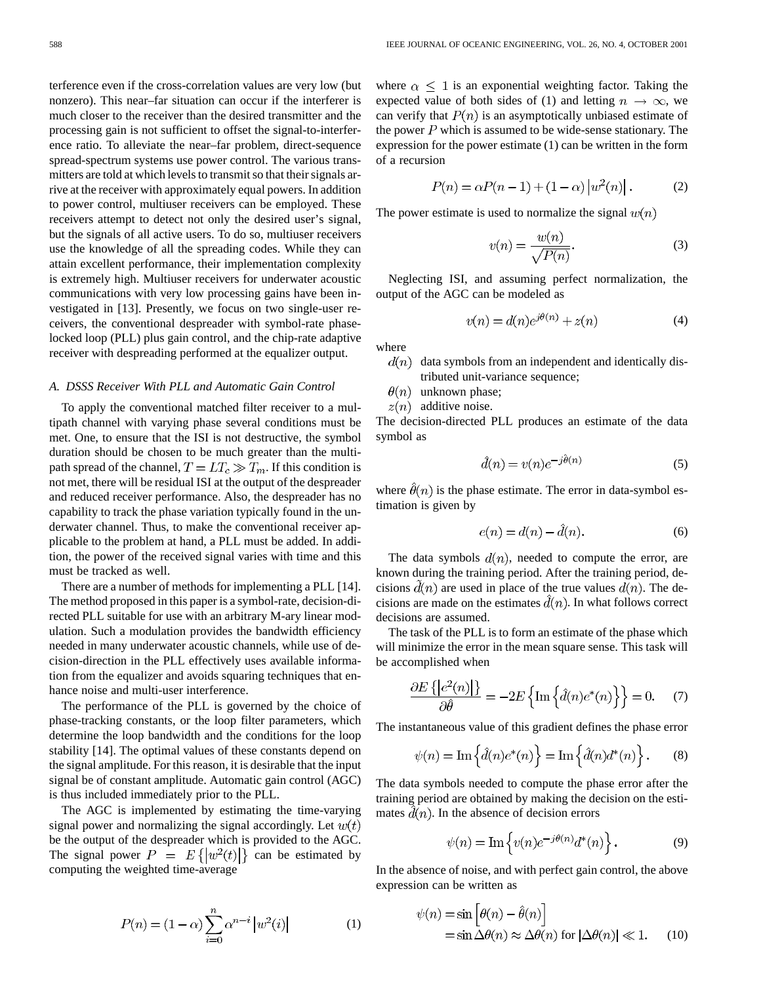terference even if the cross-correlation values are very low (but nonzero). This near–far situation can occur if the interferer is much closer to the receiver than the desired transmitter and the processing gain is not sufficient to offset the signal-to-interference ratio. To alleviate the near–far problem, direct-sequence spread-spectrum systems use power control. The various transmitters are told at which levels to transmit so that their signals arrive at the receiver with approximately equal powers. In addition to power control, multiuser receivers can be employed. These receivers attempt to detect not only the desired user's signal, but the signals of all active users. To do so, multiuser receivers use the knowledge of all the spreading codes. While they can attain excellent performance, their implementation complexity is extremely high. Multiuser receivers for underwater acoustic communications with very low processing gains have been investigated in [13]. Presently, we focus on two single-user receivers, the conventional despreader with symbol-rate phaselocked loop (PLL) plus gain control, and the chip-rate adaptive receiver with despreading performed at the equalizer output.

#### *A. DSSS Receiver With PLL and Automatic Gain Control*

To apply the conventional matched filter receiver to a multipath channel with varying phase several conditions must be met. One, to ensure that the ISI is not destructive, the symbol duration should be chosen to be much greater than the multipath spread of the channel,  $T = LT_c \gg T_m$ . If this condition is not met, there will be residual ISI at the output of the despreader and reduced receiver performance. Also, the despreader has no capability to track the phase variation typically found in the underwater channel. Thus, to make the conventional receiver applicable to the problem at hand, a PLL must be added. In addition, the power of the received signal varies with time and this must be tracked as well.

There are a number of methods for implementing a PLL [14]. The method proposed in this paper is a symbol-rate, decision-directed PLL suitable for use with an arbitrary M-ary linear modulation. Such a modulation provides the bandwidth efficiency needed in many underwater acoustic channels, while use of decision-direction in the PLL effectively uses available information from the equalizer and avoids squaring techniques that enhance noise and multi-user interference.

The performance of the PLL is governed by the choice of phase-tracking constants, or the loop filter parameters, which determine the loop bandwidth and the conditions for the loop stability [14]. The optimal values of these constants depend on the signal amplitude. For this reason, it is desirable that the input signal be of constant amplitude. Automatic gain control (AGC) is thus included immediately prior to the PLL.

The AGC is implemented by estimating the time-varying signal power and normalizing the signal accordingly. Let  $w(t)$ be the output of the despreader which is provided to the AGC. The signal power  $P = E\{|w^2(t)|\}$  can be estimated by computing the weighted time-average

$$
P(n) = (1 - \alpha) \sum_{i=0}^{n} \alpha^{n-i} |w^2(i)|
$$
 (1)

where  $\alpha \leq 1$  is an exponential weighting factor. Taking the expected value of both sides of (1) and letting  $n \to \infty$ , we can verify that  $P(n)$  is an asymptotically unbiased estimate of the power  $P$  which is assumed to be wide-sense stationary. The expression for the power estimate (1) can be written in the form of a recursion

$$
P(n) = \alpha P(n-1) + (1 - \alpha) |w^{2}(n)|.
$$
 (2)

The power estimate is used to normalize the signal  $w(n)$ 

$$
v(n) = \frac{w(n)}{\sqrt{P(n)}}.\t(3)
$$

Neglecting ISI, and assuming perfect normalization, the output of the AGC can be modeled as

$$
v(n) = d(n)e^{j\theta(n)} + z(n)
$$
\n<sup>(4)</sup>

where

- $d(n)$  data symbols from an independent and identically distributed unit-variance sequence;
- $\theta(n)$  unknown phase;
- $z(n)$  additive noise.

The decision-directed PLL produces an estimate of the data symbol as

$$
\hat{d}(n) = v(n)e^{-j\theta(n)}\tag{5}
$$

where  $\hat{\theta}(n)$  is the phase estimate. The error in data-symbol estimation is given by

$$
e(n) = d(n) - \hat{d}(n). \tag{6}
$$

The data symbols  $d(n)$ , needed to compute the error, are known during the training period. After the training period, decisions  $\tilde{d}(n)$  are used in place of the true values  $d(n)$ . The decisions are made on the estimates  $d(n)$ . In what follows correct decisions are assumed.

The task of the PLL is to form an estimate of the phase which will minimize the error in the mean square sense. This task will be accomplished when

$$
\frac{\partial E\left\{|e^{2}(n)|\right\}}{\partial \hat{\theta}} = -2E\left\{\text{Im}\left\{\hat{d}(n)e^{*}(n)\right\}\right\} = 0. \quad (7)
$$

The instantaneous value of this gradient defines the phase error

$$
\psi(n) = \operatorname{Im} \left\{ \hat{d}(n)e^*(n) \right\} = \operatorname{Im} \left\{ \hat{d}(n)d^*(n) \right\}. \tag{8}
$$

The data symbols needed to compute the phase error after the training period are obtained by making the decision on the estimates  $d(n)$ . In the absence of decision errors

$$
\psi(n) = \operatorname{Im} \left\{ v(n) e^{-j\theta(n)} d^*(n) \right\}.
$$
 (9)

In the absence of noise, and with perfect gain control, the above expression can be written as

$$
\psi(n) = \sin \left[\theta(n) - \hat{\theta}(n)\right]
$$
  
=  $\sin \Delta \theta(n) \approx \Delta \theta(n)$  for  $|\Delta \theta(n)| \ll 1$ . (10)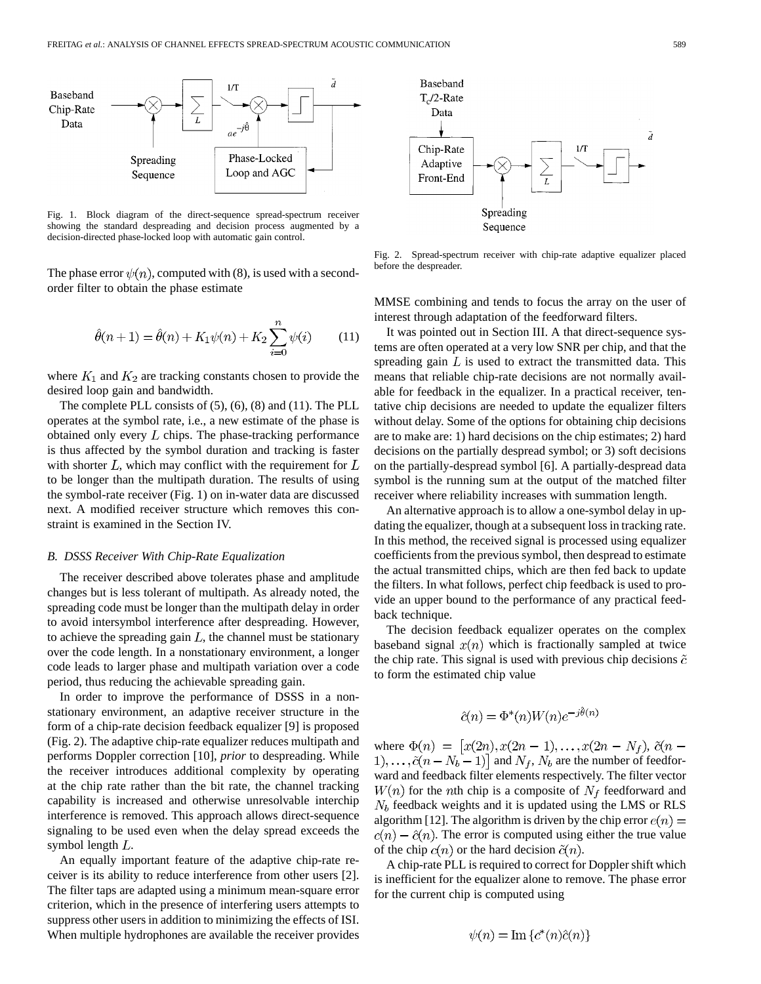

Fig. 1. Block diagram of the direct-sequence spread-spectrum receiver showing the standard despreading and decision process augmented by a decision-directed phase-locked loop with automatic gain control.

The phase error  $\psi(n)$ , computed with (8), is used with a secondorder filter to obtain the phase estimate

$$
\hat{\theta}(n+1) = \hat{\theta}(n) + K_1 \psi(n) + K_2 \sum_{i=0}^{n} \psi(i)
$$
 (11)

where  $K_1$  and  $K_2$  are tracking constants chosen to provide the desired loop gain and bandwidth.

The complete PLL consists of (5), (6), (8) and (11). The PLL operates at the symbol rate, i.e., a new estimate of the phase is obtained only every  $L$  chips. The phase-tracking performance is thus affected by the symbol duration and tracking is faster with shorter  $L$ , which may conflict with the requirement for  $L$ to be longer than the multipath duration. The results of using the symbol-rate receiver (Fig. 1) on in-water data are discussed next. A modified receiver structure which removes this constraint is examined in the Section IV.

#### *B. DSSS Receiver With Chip-Rate Equalization*

The receiver described above tolerates phase and amplitude changes but is less tolerant of multipath. As already noted, the spreading code must be longer than the multipath delay in order to avoid intersymbol interference after despreading. However, to achieve the spreading gain  $L$ , the channel must be stationary over the code length. In a nonstationary environment, a longer code leads to larger phase and multipath variation over a code period, thus reducing the achievable spreading gain.

In order to improve the performance of DSSS in a nonstationary environment, an adaptive receiver structure in the form of a chip-rate decision feedback equalizer [9] is proposed (Fig. 2). The adaptive chip-rate equalizer reduces multipath and performs Doppler correction [10], *prior* to despreading. While the receiver introduces additional complexity by operating at the chip rate rather than the bit rate, the channel tracking capability is increased and otherwise unresolvable interchip interference is removed. This approach allows direct-sequence signaling to be used even when the delay spread exceeds the symbol length  $L$ .

An equally important feature of the adaptive chip-rate receiver is its ability to reduce interference from other users [2]. The filter taps are adapted using a minimum mean-square error criterion, which in the presence of interfering users attempts to suppress other users in addition to minimizing the effects of ISI. When multiple hydrophones are available the receiver provides



Fig. 2. Spread-spectrum receiver with chip-rate adaptive equalizer placed before the despreader.

MMSE combining and tends to focus the array on the user of interest through adaptation of the feedforward filters.

It was pointed out in Section III. A that direct-sequence systems are often operated at a very low SNR per chip, and that the spreading gain  $L$  is used to extract the transmitted data. This means that reliable chip-rate decisions are not normally available for feedback in the equalizer. In a practical receiver, tentative chip decisions are needed to update the equalizer filters without delay. Some of the options for obtaining chip decisions are to make are: 1) hard decisions on the chip estimates; 2) hard decisions on the partially despread symbol; or 3) soft decisions on the partially-despread symbol [6]. A partially-despread data symbol is the running sum at the output of the matched filter receiver where reliability increases with summation length.

An alternative approach is to allow a one-symbol delay in updating the equalizer, though at a subsequent loss in tracking rate. In this method, the received signal is processed using equalizer coefficients from the previous symbol, then despread to estimate the actual transmitted chips, which are then fed back to update the filters. In what follows, perfect chip feedback is used to provide an upper bound to the performance of any practical feedback technique.

The decision feedback equalizer operates on the complex baseband signal  $x(n)$  which is fractionally sampled at twice the chip rate. This signal is used with previous chip decisions  $\tilde{c}$ to form the estimated chip value

$$
\hat{c}(n) = \Phi^*(n)W(n)e^{-j\theta(n)}
$$

where  $\Phi(n) = [x(2n), x(2n-1), \dots, x(2n-N_f), \tilde{c}(n-1)]$  $[1), \ldots, \tilde{c}(n - N_b - 1)]$  and  $N_f, N_b$  are the number of feedforward and feedback filter elements respectively. The filter vector  $W(n)$  for the *n*th chip is a composite of  $N_f$  feedforward and  $N_b$  feedback weights and it is updated using the LMS or RLS algorithm [12]. The algorithm is driven by the chip error  $e(n)$  =  $c(n) - \hat{c}(n)$ . The error is computed using either the true value of the chip  $c(n)$  or the hard decision  $\tilde{c}(n)$ .

A chip-rate PLL is required to correct for Doppler shift which is inefficient for the equalizer alone to remove. The phase error for the current chip is computed using

$$
\psi(n) = \text{Im}\left\{c^*(n)\hat{c}(n)\right\}
$$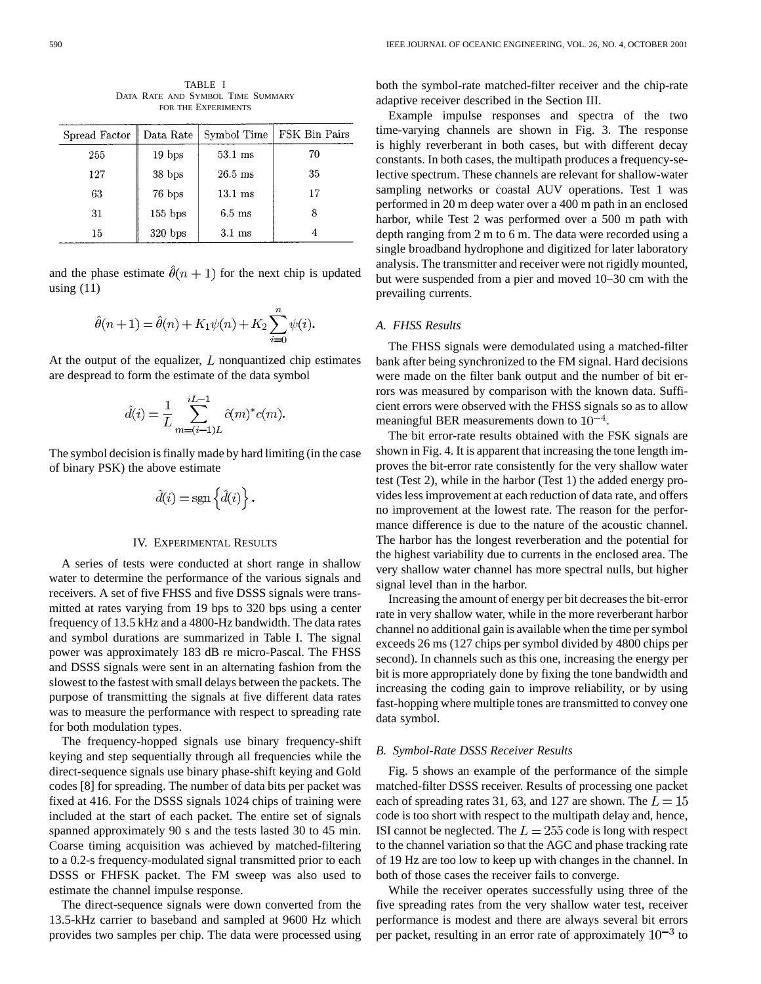| Spread Factor | Data Rate         | Symbol Time       | FSK Bin Pairs |
|---------------|-------------------|-------------------|---------------|
| 255           | 19 <sub>bps</sub> | 53.1 ms           | 70            |
| 127           | 38 bps            | $26.5$ ms         | 35            |
| 63            | 76 bps            | $13.1 \text{ ms}$ | 17            |
| 31            | $155$ bps         | $6.5 \text{ ms}$  | 8             |
| 15            | 320 bps           | $3.1 \text{ ms}$  |               |

FOR THE EXPERIMENTS

and the phase estimate  $\hat{\theta}(n+1)$  for the next chip is updated using  $(11)$ 

$$
\hat{\theta}(n+1) = \hat{\theta}(n) + K_1 \psi(n) + K_2 \sum_{i=0}^{n} \psi(i).
$$

At the output of the equalizer,  $L$  nonquantized chip estimates are despread to form the estimate of the data symbol

$$
\hat{d}(i) = \frac{1}{L} \sum_{m=(i-1)L}^{i} \hat{c}(m)^* c(m)
$$

The symbol decision is finally made by hard limiting (in the case of binary PSK) the above estimate

$$
\tilde{d}(i) = \text{sgn}\left\{\hat{d}(i)\right\}.
$$

#### IV. EXPERIMENTAL RESULTS

A series of tests were conducted at short range in shallow water to determine the performance of the various signals and receivers. A set of five FHSS and five DSSS signals were transmitted at rates varying from 19 bps to 320 bps using a center frequency of 13.5 kHz and a 4800-Hz bandwidth. The data rates and symbol durations are summarized in Table I. The signal power was approximately 183 dB re micro-Pascal. The FHSS and DSSS signals were sent in an alternating fashion from the slowest to the fastest with small delays between the packets. The purpose of transmitting the signals at five different data rates was to measure the performance with respect to spreading rate for both modulation types.

The frequency-hopped signals use binary frequency-shift keying and step sequentially through all frequencies while the direct-sequence signals use binary phase-shift keying and Gold codes [8] for spreading. The number of data bits per packet was fixed at 416. For the DSSS signals 1024 chips of training were included at the start of each packet. The entire set of signals spanned approximately 90 s and the tests lasted 30 to 45 min. Coarse timing acquisition was achieved by matched-filtering to a 0.2-s frequency-modulated signal transmitted prior to each DSSS or FHFSK packet. The FM sweep was also used to estimate the channel impulse response.

The direct-sequence signals were down converted from the 13.5-kHz carrier to baseband and sampled at 9600 Hz which provides two samples per chip. The data were processed using both the symbol-rate matched-filter receiver and the chip-rate adaptive receiver described in the Section III.

Example impulse responses and spectra of the two time-varying channels are shown in Fig. 3. The response is highly reverberant in both cases, but with different decay constants. In both cases, the multipath produces a frequency-selective spectrum. These channels are relevant for shallow-water sampling networks or coastal AUV operations. Test 1 was performed in 20 m deep water over a 400 m path in an enclosed harbor, while Test 2 was performed over a 500 m path with depth ranging from 2 m to 6 m. The data were recorded using a single broadband hydrophone and digitized for later laboratory analysis. The transmitter and receiver were not rigidly mounted, but were suspended from a pier and moved 10–30 cm with the prevailing currents.

# *A. FHSS Results*

The FHSS signals were demodulated using a matched-filter bank after being synchronized to the FM signal. Hard decisions were made on the filter bank output and the number of bit errors was measured by comparison with the known data. Sufficient errors were observed with the FHSS signals so as to allow meaningful BER measurements down to  $10^{-4}$ .

The bit error-rate results obtained with the FSK signals are shown in Fig. 4. It is apparent that increasing the tone length improves the bit-error rate consistently for the very shallow water test (Test 2), while in the harbor (Test 1) the added energy provides less improvement at each reduction of data rate, and offers no improvement at the lowest rate. The reason for the performance difference is due to the nature of the acoustic channel. The harbor has the longest reverberation and the potential for the highest variability due to currents in the enclosed area. The very shallow water channel has more spectral nulls, but higher signal level than in the harbor.

Increasing the amount of energy per bit decreases the bit-error rate in very shallow water, while in the more reverberant harbor channel no additional gain is available when the time per symbol exceeds 26 ms (127 chips per symbol divided by 4800 chips per second). In channels such as this one, increasing the energy per bit is more appropriately done by fixing the tone bandwidth and increasing the coding gain to improve reliability, or by using fast-hopping where multiple tones are transmitted to convey one data symbol.

## *B. Symbol-Rate DSSS Receiver Results*

Fig. 5 shows an example of the performance of the simple matched-filter DSSS receiver. Results of processing one packet each of spreading rates 31, 63, and 127 are shown. The  $L = 15$ code is too short with respect to the multipath delay and, hence, ISI cannot be neglected. The  $L = 255$  code is long with respect to the channel variation so that the AGC and phase tracking rate of 19 Hz are too low to keep up with changes in the channel. In both of those cases the receiver fails to converge.

While the receiver operates successfully using three of the five spreading rates from the very shallow water test, receiver performance is modest and there are always several bit errors per packet, resulting in an error rate of approximately  $10^{-3}$  to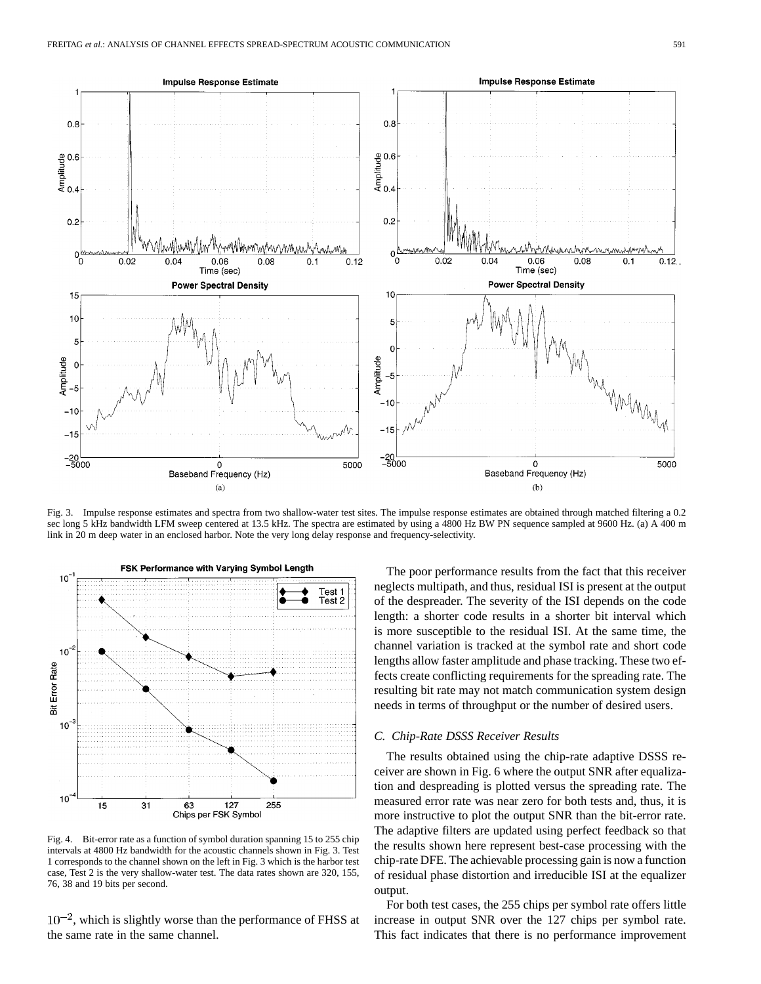

Fig. 3. Impulse response estimates and spectra from two shallow-water test sites. The impulse response estimates are obtained through matched filtering a 0.2 sec long 5 kHz bandwidth LFM sweep centered at 13.5 kHz. The spectra are estimated by using a 4800 Hz BW PN sequence sampled at 9600 Hz. (a) A 400 m link in 20 m deep water in an enclosed harbor. Note the very long delay response and frequency-selectivity.



Fig. 4. Bit-error rate as a function of symbol duration spanning 15 to 255 chip intervals at 4800 Hz bandwidth for the acoustic channels shown in Fig. 3. Test 1 corresponds to the channel shown on the left in Fig. 3 which is the harbor test case, Test 2 is the very shallow-water test. The data rates shown are 320, 155, 76, 38 and 19 bits per second.

 $10^{-2}$ , which is slightly worse than the performance of FHSS at the same rate in the same channel.

The poor performance results from the fact that this receiver neglects multipath, and thus, residual ISI is present at the output of the despreader. The severity of the ISI depends on the code length: a shorter code results in a shorter bit interval which is more susceptible to the residual ISI. At the same time, the channel variation is tracked at the symbol rate and short code lengths allow faster amplitude and phase tracking. These two effects create conflicting requirements for the spreading rate. The resulting bit rate may not match communication system design needs in terms of throughput or the number of desired users.

#### *C. Chip-Rate DSSS Receiver Results*

The results obtained using the chip-rate adaptive DSSS receiver are shown in Fig. 6 where the output SNR after equalization and despreading is plotted versus the spreading rate. The measured error rate was near zero for both tests and, thus, it is more instructive to plot the output SNR than the bit-error rate. The adaptive filters are updated using perfect feedback so that the results shown here represent best-case processing with the chip-rate DFE. The achievable processing gain is now a function of residual phase distortion and irreducible ISI at the equalizer output.

For both test cases, the 255 chips per symbol rate offers little increase in output SNR over the 127 chips per symbol rate. This fact indicates that there is no performance improvement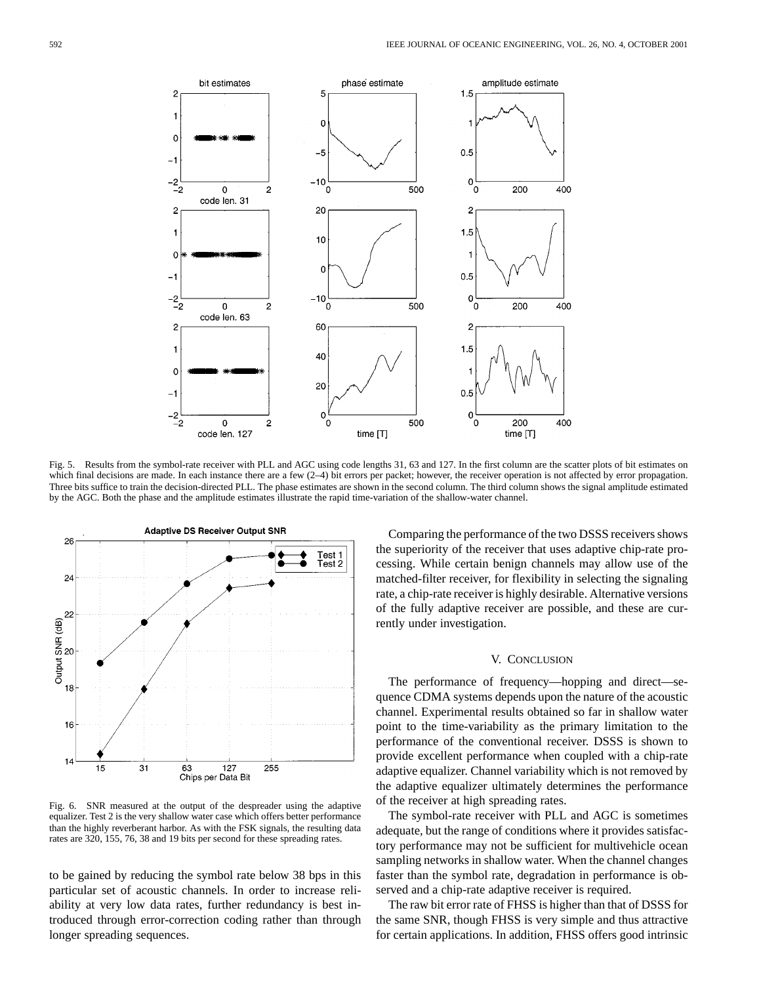

Fig. 5. Results from the symbol-rate receiver with PLL and AGC using code lengths 31, 63 and 127. In the first column are the scatter plots of bit estimates on which final decisions are made. In each instance there are a few  $(2-4)$  bit errors per packet; however, the receiver operation is not affected by error propagation. Three bits suffice to train the decision-directed PLL. The phase estimates are shown in the second column. The third column shows the signal amplitude estimated by the AGC. Both the phase and the amplitude estimates illustrate the rapid time-variation of the shallow-water channel.



Fig. 6. SNR measured at the output of the despreader using the adaptive equalizer. Test 2 is the very shallow water case which offers better performance than the highly reverberant harbor. As with the FSK signals, the resulting data rates are 320, 155, 76, 38 and 19 bits per second for these spreading rates.

to be gained by reducing the symbol rate below 38 bps in this particular set of acoustic channels. In order to increase reliability at very low data rates, further redundancy is best introduced through error-correction coding rather than through longer spreading sequences.

Comparing the performance of the two DSSS receivers shows the superiority of the receiver that uses adaptive chip-rate processing. While certain benign channels may allow use of the matched-filter receiver, for flexibility in selecting the signaling rate, a chip-rate receiver is highly desirable. Alternative versions of the fully adaptive receiver are possible, and these are currently under investigation.

# V. CONCLUSION

The performance of frequency—hopping and direct—sequence CDMA systems depends upon the nature of the acoustic channel. Experimental results obtained so far in shallow water point to the time-variability as the primary limitation to the performance of the conventional receiver. DSSS is shown to provide excellent performance when coupled with a chip-rate adaptive equalizer. Channel variability which is not removed by the adaptive equalizer ultimately determines the performance of the receiver at high spreading rates.

The symbol-rate receiver with PLL and AGC is sometimes adequate, but the range of conditions where it provides satisfactory performance may not be sufficient for multivehicle ocean sampling networks in shallow water. When the channel changes faster than the symbol rate, degradation in performance is observed and a chip-rate adaptive receiver is required.

The raw bit error rate of FHSS is higher than that of DSSS for the same SNR, though FHSS is very simple and thus attractive for certain applications. In addition, FHSS offers good intrinsic